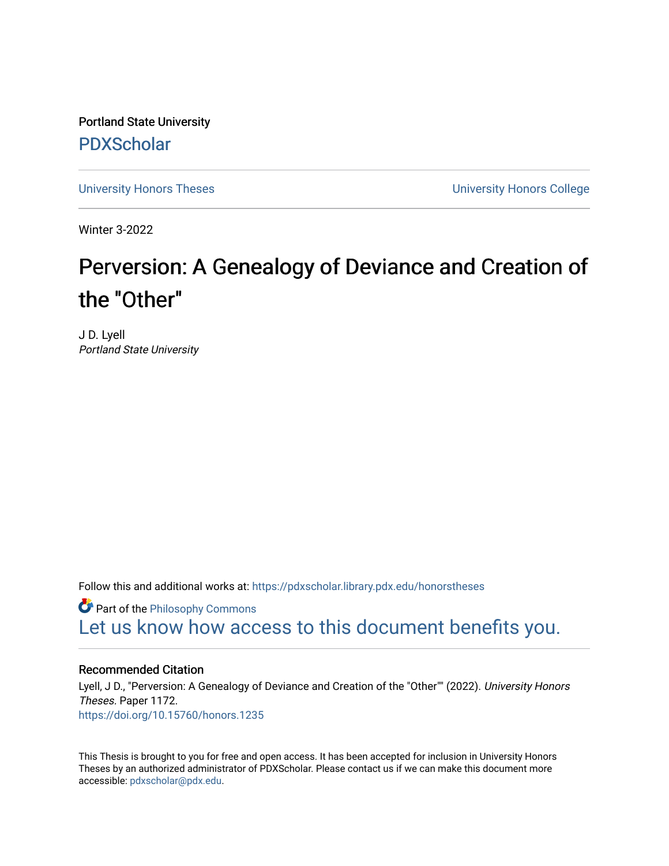Portland State University [PDXScholar](https://pdxscholar.library.pdx.edu/)

[University Honors Theses](https://pdxscholar.library.pdx.edu/honorstheses) [University Honors College](https://pdxscholar.library.pdx.edu/honors) 

Winter 3-2022

# Perversion: A Genealogy of Deviance and Creation of the "Other"

J D. Lyell Portland State University

Follow this and additional works at: [https://pdxscholar.library.pdx.edu/honorstheses](https://pdxscholar.library.pdx.edu/honorstheses?utm_source=pdxscholar.library.pdx.edu%2Fhonorstheses%2F1172&utm_medium=PDF&utm_campaign=PDFCoverPages) 

**Part of the Philosophy Commons** [Let us know how access to this document benefits you.](http://library.pdx.edu/services/pdxscholar-services/pdxscholar-feedback/) 

## Recommended Citation

Lyell, J D., "Perversion: A Genealogy of Deviance and Creation of the "Other"" (2022). University Honors Theses. Paper 1172. <https://doi.org/10.15760/honors.1235>

This Thesis is brought to you for free and open access. It has been accepted for inclusion in University Honors Theses by an authorized administrator of PDXScholar. Please contact us if we can make this document more accessible: [pdxscholar@pdx.edu.](mailto:pdxscholar@pdx.edu)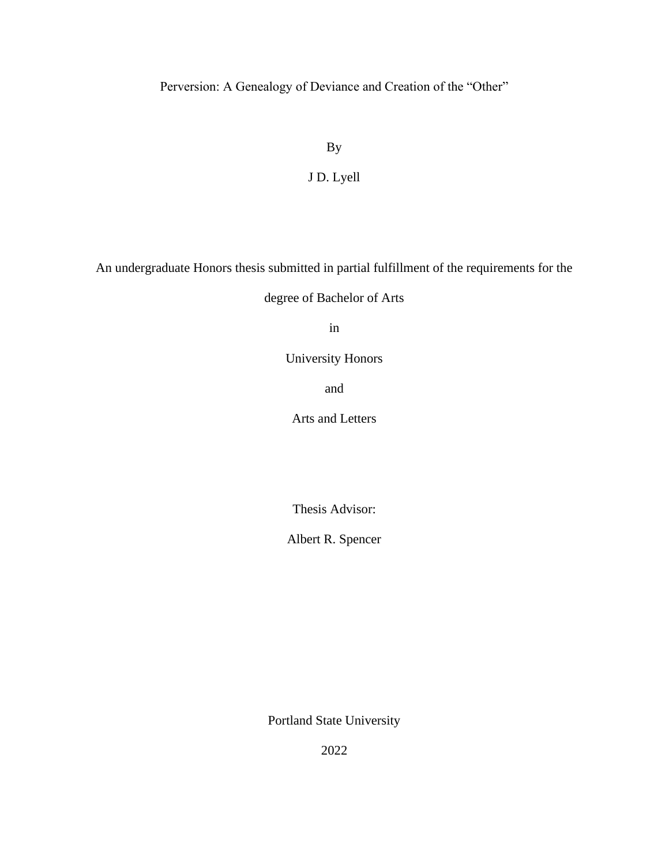Perversion: A Genealogy of Deviance and Creation of the "Other"

By

J D. Lyell

An undergraduate Honors thesis submitted in partial fulfillment of the requirements for the

degree of Bachelor of Arts

in

University Honors

and

Arts and Letters

Thesis Advisor:

Albert R. Spencer

Portland State University

2022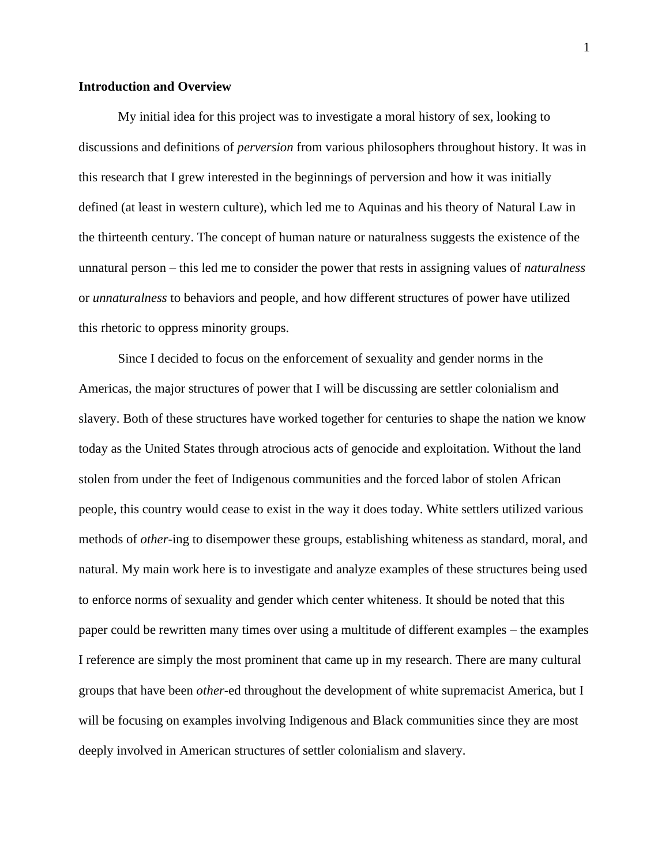### **Introduction and Overview**

My initial idea for this project was to investigate a moral history of sex, looking to discussions and definitions of *perversion* from various philosophers throughout history. It was in this research that I grew interested in the beginnings of perversion and how it was initially defined (at least in western culture), which led me to Aquinas and his theory of Natural Law in the thirteenth century. The concept of human nature or naturalness suggests the existence of the unnatural person – this led me to consider the power that rests in assigning values of *naturalness* or *unnaturalness* to behaviors and people, and how different structures of power have utilized this rhetoric to oppress minority groups.

Since I decided to focus on the enforcement of sexuality and gender norms in the Americas, the major structures of power that I will be discussing are settler colonialism and slavery. Both of these structures have worked together for centuries to shape the nation we know today as the United States through atrocious acts of genocide and exploitation. Without the land stolen from under the feet of Indigenous communities and the forced labor of stolen African people, this country would cease to exist in the way it does today. White settlers utilized various methods of *other*-ing to disempower these groups, establishing whiteness as standard, moral, and natural. My main work here is to investigate and analyze examples of these structures being used to enforce norms of sexuality and gender which center whiteness. It should be noted that this paper could be rewritten many times over using a multitude of different examples – the examples I reference are simply the most prominent that came up in my research. There are many cultural groups that have been *other-*ed throughout the development of white supremacist America, but I will be focusing on examples involving Indigenous and Black communities since they are most deeply involved in American structures of settler colonialism and slavery.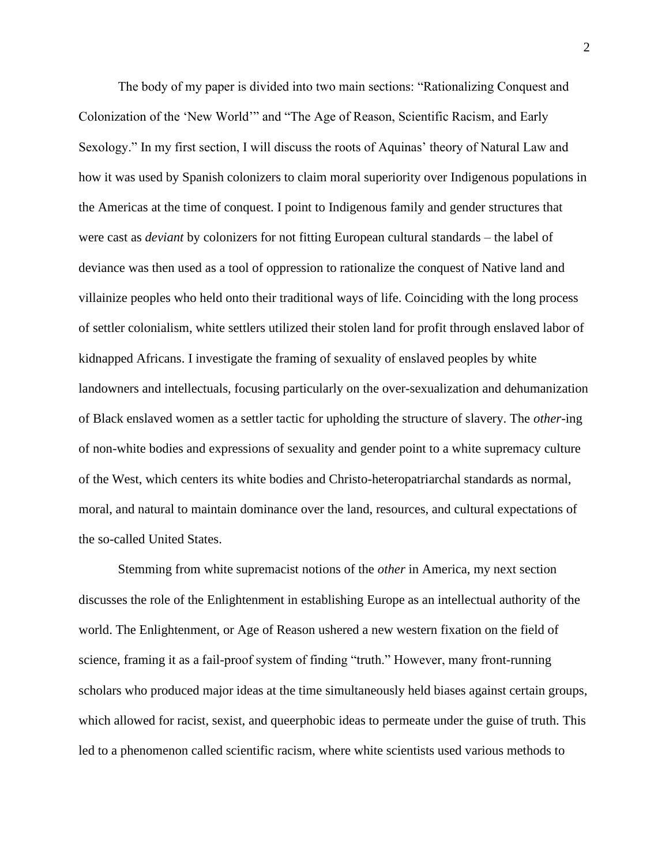The body of my paper is divided into two main sections: "Rationalizing Conquest and Colonization of the 'New World'" and "The Age of Reason, Scientific Racism, and Early Sexology." In my first section, I will discuss the roots of Aquinas' theory of Natural Law and how it was used by Spanish colonizers to claim moral superiority over Indigenous populations in the Americas at the time of conquest. I point to Indigenous family and gender structures that were cast as *deviant* by colonizers for not fitting European cultural standards – the label of deviance was then used as a tool of oppression to rationalize the conquest of Native land and villainize peoples who held onto their traditional ways of life. Coinciding with the long process of settler colonialism, white settlers utilized their stolen land for profit through enslaved labor of kidnapped Africans. I investigate the framing of sexuality of enslaved peoples by white landowners and intellectuals, focusing particularly on the over-sexualization and dehumanization of Black enslaved women as a settler tactic for upholding the structure of slavery. The *other*-ing of non-white bodies and expressions of sexuality and gender point to a white supremacy culture of the West, which centers its white bodies and Christo-heteropatriarchal standards as normal, moral, and natural to maintain dominance over the land, resources, and cultural expectations of the so-called United States.

Stemming from white supremacist notions of the *other* in America, my next section discusses the role of the Enlightenment in establishing Europe as an intellectual authority of the world. The Enlightenment, or Age of Reason ushered a new western fixation on the field of science, framing it as a fail-proof system of finding "truth." However, many front-running scholars who produced major ideas at the time simultaneously held biases against certain groups, which allowed for racist, sexist, and queerphobic ideas to permeate under the guise of truth. This led to a phenomenon called scientific racism, where white scientists used various methods to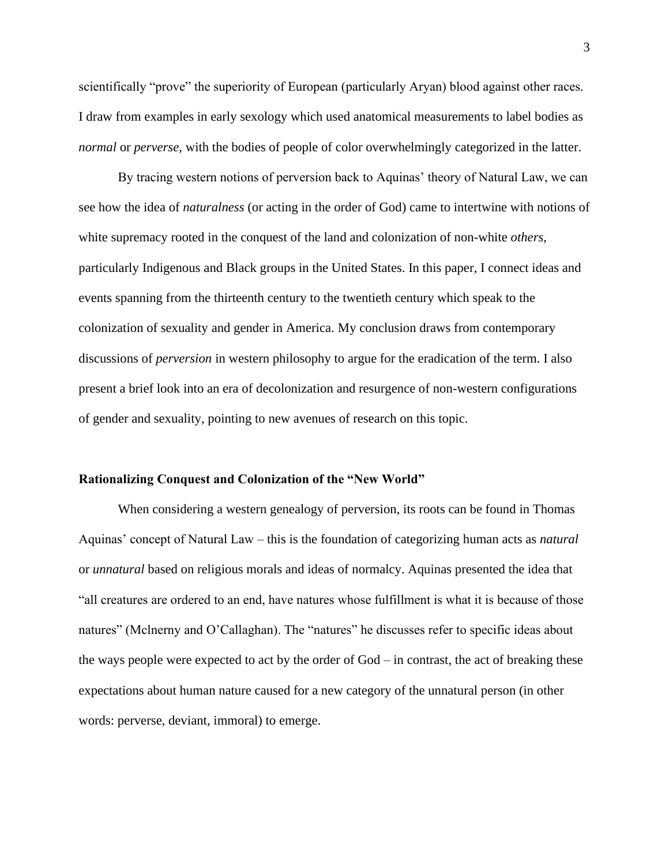scientifically "prove" the superiority of European (particularly Aryan) blood against other races. I draw from examples in early sexology which used anatomical measurements to label bodies as *normal* or *perverse*, with the bodies of people of color overwhelmingly categorized in the latter.

By tracing western notions of perversion back to Aquinas' theory of Natural Law, we can see how the idea of *naturalness* (or acting in the order of God) came to intertwine with notions of white supremacy rooted in the conquest of the land and colonization of non-white *others*, particularly Indigenous and Black groups in the United States. In this paper, I connect ideas and events spanning from the thirteenth century to the twentieth century which speak to the colonization of sexuality and gender in America. My conclusion draws from contemporary discussions of *perversion* in western philosophy to argue for the eradication of the term. I also present a brief look into an era of decolonization and resurgence of non-western configurations of gender and sexuality, pointing to new avenues of research on this topic.

#### **Rationalizing Conquest and Colonization of the "New World"**

When considering a western genealogy of perversion, its roots can be found in Thomas Aquinas' concept of Natural Law – this is the foundation of categorizing human acts as *natural* or *unnatural* based on religious morals and ideas of normalcy. Aquinas presented the idea that "all creatures are ordered to an end, have natures whose fulfillment is what it is because of those natures" (Mclnerny and O'Callaghan). The "natures" he discusses refer to specific ideas about the ways people were expected to act by the order of God – in contrast, the act of breaking these expectations about human nature caused for a new category of the unnatural person (in other words: perverse, deviant, immoral) to emerge.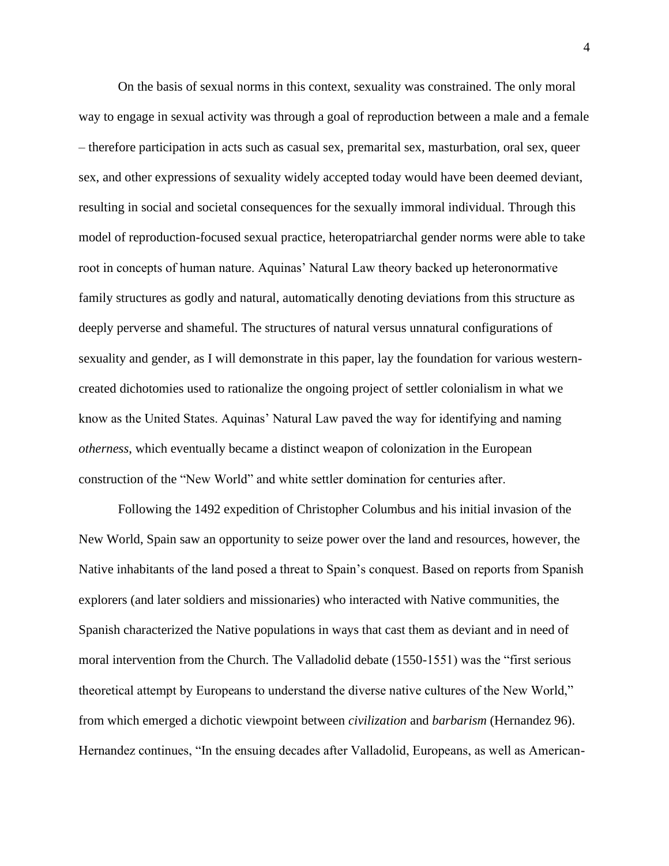On the basis of sexual norms in this context, sexuality was constrained. The only moral way to engage in sexual activity was through a goal of reproduction between a male and a female – therefore participation in acts such as casual sex, premarital sex, masturbation, oral sex, queer sex, and other expressions of sexuality widely accepted today would have been deemed deviant, resulting in social and societal consequences for the sexually immoral individual. Through this model of reproduction-focused sexual practice, heteropatriarchal gender norms were able to take root in concepts of human nature. Aquinas' Natural Law theory backed up heteronormative family structures as godly and natural, automatically denoting deviations from this structure as deeply perverse and shameful. The structures of natural versus unnatural configurations of sexuality and gender, as I will demonstrate in this paper, lay the foundation for various westerncreated dichotomies used to rationalize the ongoing project of settler colonialism in what we know as the United States. Aquinas' Natural Law paved the way for identifying and naming *otherness*, which eventually became a distinct weapon of colonization in the European construction of the "New World" and white settler domination for centuries after.

Following the 1492 expedition of Christopher Columbus and his initial invasion of the New World, Spain saw an opportunity to seize power over the land and resources, however, the Native inhabitants of the land posed a threat to Spain's conquest. Based on reports from Spanish explorers (and later soldiers and missionaries) who interacted with Native communities, the Spanish characterized the Native populations in ways that cast them as deviant and in need of moral intervention from the Church. The Valladolid debate (1550-1551) was the "first serious theoretical attempt by Europeans to understand the diverse native cultures of the New World," from which emerged a dichotic viewpoint between *civilization* and *barbarism* (Hernandez 96). Hernandez continues, "In the ensuing decades after Valladolid, Europeans, as well as American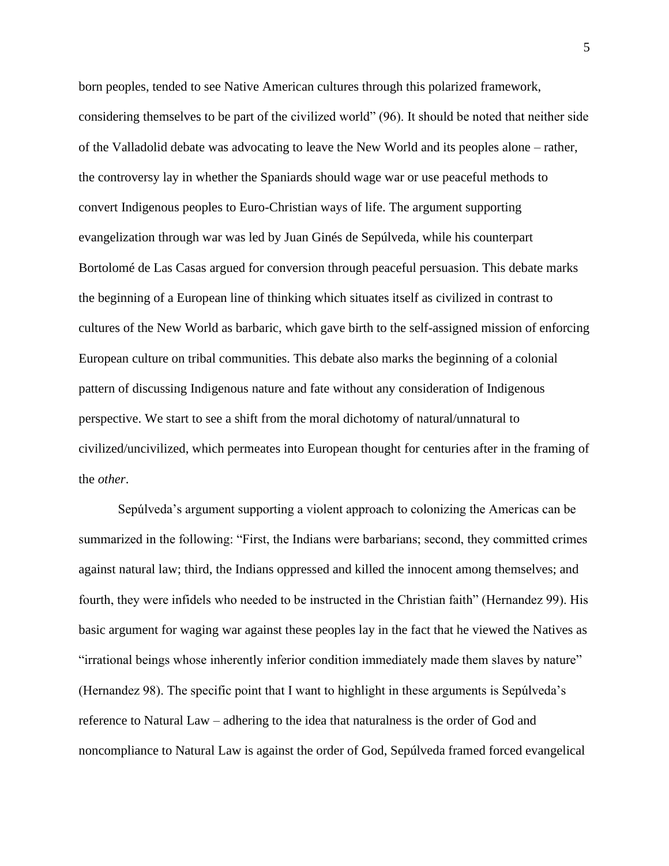born peoples, tended to see Native American cultures through this polarized framework, considering themselves to be part of the civilized world" (96). It should be noted that neither side of the Valladolid debate was advocating to leave the New World and its peoples alone – rather, the controversy lay in whether the Spaniards should wage war or use peaceful methods to convert Indigenous peoples to Euro-Christian ways of life. The argument supporting evangelization through war was led by Juan Ginés de Sepúlveda, while his counterpart Bortolomé de Las Casas argued for conversion through peaceful persuasion. This debate marks the beginning of a European line of thinking which situates itself as civilized in contrast to cultures of the New World as barbaric, which gave birth to the self-assigned mission of enforcing European culture on tribal communities. This debate also marks the beginning of a colonial pattern of discussing Indigenous nature and fate without any consideration of Indigenous perspective. We start to see a shift from the moral dichotomy of natural/unnatural to civilized/uncivilized, which permeates into European thought for centuries after in the framing of the *other*.

Sepúlveda's argument supporting a violent approach to colonizing the Americas can be summarized in the following: "First, the Indians were barbarians; second, they committed crimes against natural law; third, the Indians oppressed and killed the innocent among themselves; and fourth, they were infidels who needed to be instructed in the Christian faith" (Hernandez 99). His basic argument for waging war against these peoples lay in the fact that he viewed the Natives as "irrational beings whose inherently inferior condition immediately made them slaves by nature" (Hernandez 98). The specific point that I want to highlight in these arguments is Sepúlveda's reference to Natural Law – adhering to the idea that naturalness is the order of God and noncompliance to Natural Law is against the order of God, Sepúlveda framed forced evangelical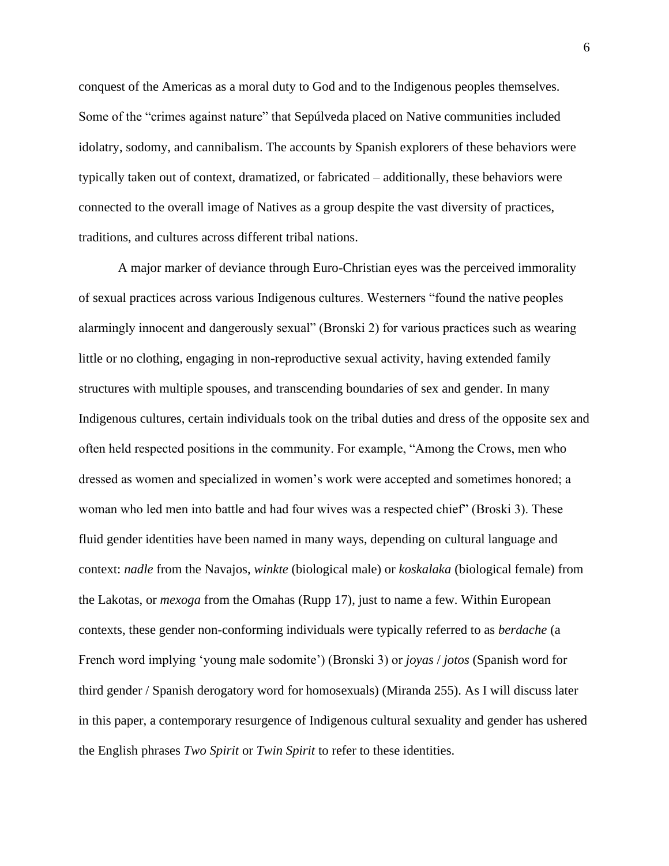conquest of the Americas as a moral duty to God and to the Indigenous peoples themselves. Some of the "crimes against nature" that Sepúlveda placed on Native communities included idolatry, sodomy, and cannibalism. The accounts by Spanish explorers of these behaviors were typically taken out of context, dramatized, or fabricated – additionally, these behaviors were connected to the overall image of Natives as a group despite the vast diversity of practices, traditions, and cultures across different tribal nations.

A major marker of deviance through Euro-Christian eyes was the perceived immorality of sexual practices across various Indigenous cultures. Westerners "found the native peoples alarmingly innocent and dangerously sexual" (Bronski 2) for various practices such as wearing little or no clothing, engaging in non-reproductive sexual activity, having extended family structures with multiple spouses, and transcending boundaries of sex and gender. In many Indigenous cultures, certain individuals took on the tribal duties and dress of the opposite sex and often held respected positions in the community. For example, "Among the Crows, men who dressed as women and specialized in women's work were accepted and sometimes honored; a woman who led men into battle and had four wives was a respected chief" (Broski 3). These fluid gender identities have been named in many ways, depending on cultural language and context: *nadle* from the Navajos, *winkte* (biological male) or *koskalaka* (biological female) from the Lakotas, or *mexoga* from the Omahas (Rupp 17), just to name a few. Within European contexts, these gender non-conforming individuals were typically referred to as *berdache* (a French word implying 'young male sodomite') (Bronski 3) or *joyas* / *jotos* (Spanish word for third gender / Spanish derogatory word for homosexuals) (Miranda 255). As I will discuss later in this paper, a contemporary resurgence of Indigenous cultural sexuality and gender has ushered the English phrases *Two Spirit* or *Twin Spirit* to refer to these identities.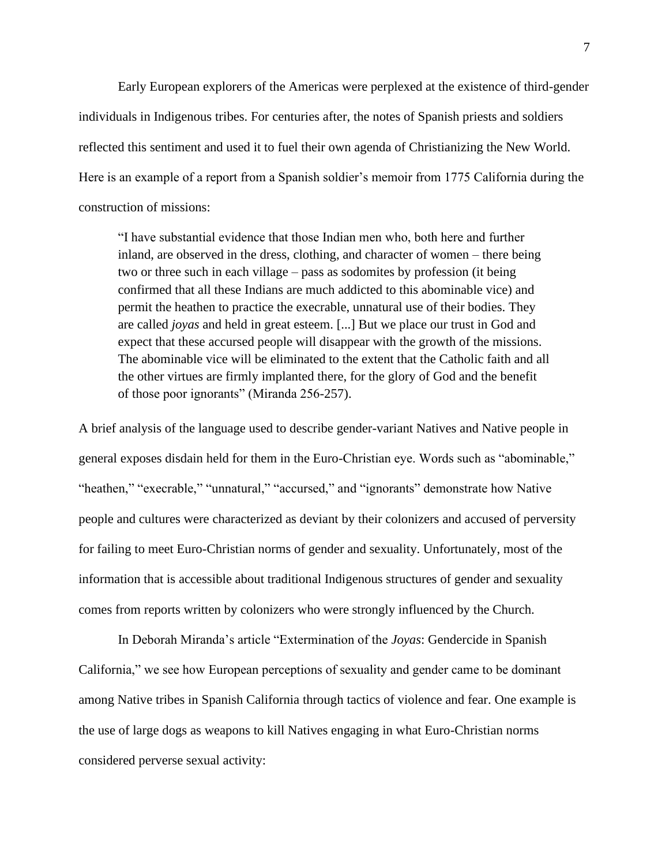Early European explorers of the Americas were perplexed at the existence of third-gender individuals in Indigenous tribes. For centuries after, the notes of Spanish priests and soldiers reflected this sentiment and used it to fuel their own agenda of Christianizing the New World. Here is an example of a report from a Spanish soldier's memoir from 1775 California during the construction of missions:

"I have substantial evidence that those Indian men who, both here and further inland, are observed in the dress, clothing, and character of women – there being two or three such in each village – pass as sodomites by profession (it being confirmed that all these Indians are much addicted to this abominable vice) and permit the heathen to practice the execrable, unnatural use of their bodies. They are called *joyas* and held in great esteem. [...] But we place our trust in God and expect that these accursed people will disappear with the growth of the missions. The abominable vice will be eliminated to the extent that the Catholic faith and all the other virtues are firmly implanted there, for the glory of God and the benefit of those poor ignorants" (Miranda 256-257).

A brief analysis of the language used to describe gender-variant Natives and Native people in general exposes disdain held for them in the Euro-Christian eye. Words such as "abominable," "heathen," "execrable," "unnatural," "accursed," and "ignorants" demonstrate how Native people and cultures were characterized as deviant by their colonizers and accused of perversity for failing to meet Euro-Christian norms of gender and sexuality. Unfortunately, most of the information that is accessible about traditional Indigenous structures of gender and sexuality comes from reports written by colonizers who were strongly influenced by the Church.

In Deborah Miranda's article "Extermination of the *Joyas*: Gendercide in Spanish California," we see how European perceptions of sexuality and gender came to be dominant among Native tribes in Spanish California through tactics of violence and fear. One example is the use of large dogs as weapons to kill Natives engaging in what Euro-Christian norms considered perverse sexual activity: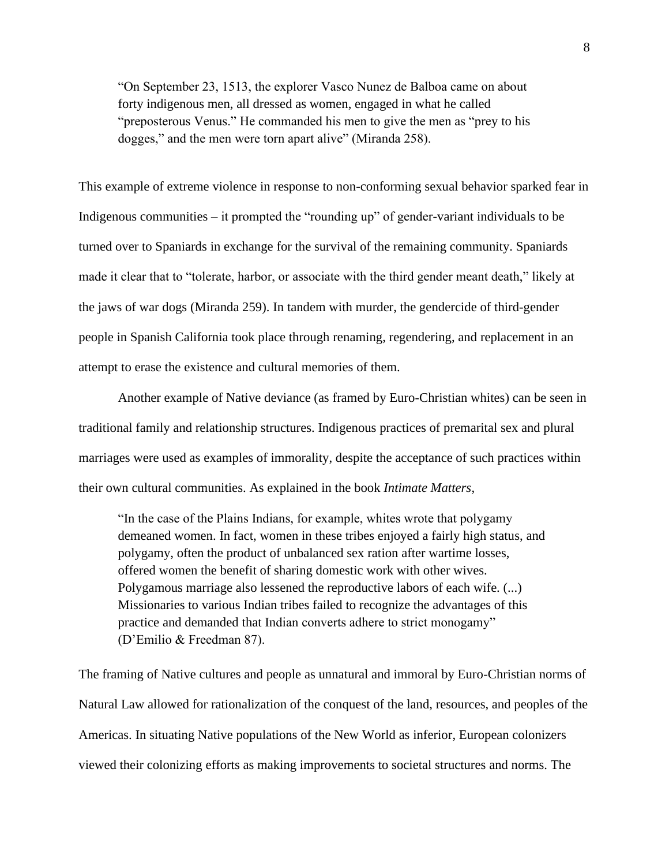"On September 23, 1513, the explorer Vasco Nunez de Balboa came on about forty indigenous men, all dressed as women, engaged in what he called "preposterous Venus." He commanded his men to give the men as "prey to his dogges," and the men were torn apart alive" (Miranda 258).

This example of extreme violence in response to non-conforming sexual behavior sparked fear in Indigenous communities – it prompted the "rounding up" of gender-variant individuals to be turned over to Spaniards in exchange for the survival of the remaining community. Spaniards made it clear that to "tolerate, harbor, or associate with the third gender meant death," likely at the jaws of war dogs (Miranda 259). In tandem with murder, the gendercide of third-gender people in Spanish California took place through renaming, regendering, and replacement in an attempt to erase the existence and cultural memories of them.

Another example of Native deviance (as framed by Euro-Christian whites) can be seen in traditional family and relationship structures. Indigenous practices of premarital sex and plural marriages were used as examples of immorality, despite the acceptance of such practices within their own cultural communities. As explained in the book *Intimate Matters*,

"In the case of the Plains Indians, for example, whites wrote that polygamy demeaned women. In fact, women in these tribes enjoyed a fairly high status, and polygamy, often the product of unbalanced sex ration after wartime losses, offered women the benefit of sharing domestic work with other wives. Polygamous marriage also lessened the reproductive labors of each wife. (...) Missionaries to various Indian tribes failed to recognize the advantages of this practice and demanded that Indian converts adhere to strict monogamy" (D'Emilio & Freedman 87).

The framing of Native cultures and people as unnatural and immoral by Euro-Christian norms of Natural Law allowed for rationalization of the conquest of the land, resources, and peoples of the Americas. In situating Native populations of the New World as inferior, European colonizers viewed their colonizing efforts as making improvements to societal structures and norms. The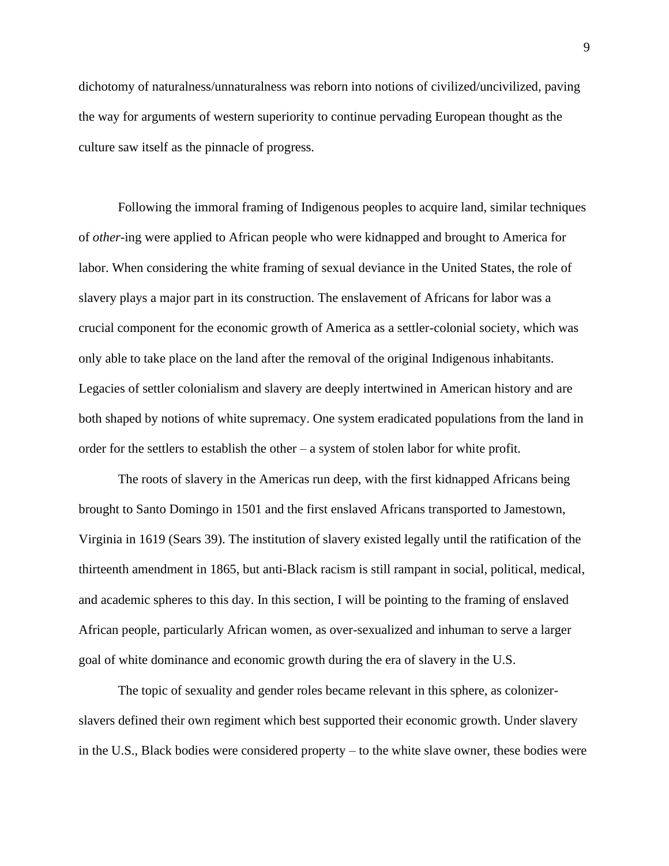dichotomy of naturalness/unnaturalness was reborn into notions of civilized/uncivilized, paving the way for arguments of western superiority to continue pervading European thought as the culture saw itself as the pinnacle of progress.

Following the immoral framing of Indigenous peoples to acquire land, similar techniques of *other*-ing were applied to African people who were kidnapped and brought to America for labor. When considering the white framing of sexual deviance in the United States, the role of slavery plays a major part in its construction. The enslavement of Africans for labor was a crucial component for the economic growth of America as a settler-colonial society, which was only able to take place on the land after the removal of the original Indigenous inhabitants. Legacies of settler colonialism and slavery are deeply intertwined in American history and are both shaped by notions of white supremacy. One system eradicated populations from the land in order for the settlers to establish the other – a system of stolen labor for white profit.

The roots of slavery in the Americas run deep, with the first kidnapped Africans being brought to Santo Domingo in 1501 and the first enslaved Africans transported to Jamestown, Virginia in 1619 (Sears 39). The institution of slavery existed legally until the ratification of the thirteenth amendment in 1865, but anti-Black racism is still rampant in social, political, medical, and academic spheres to this day. In this section, I will be pointing to the framing of enslaved African people, particularly African women, as over-sexualized and inhuman to serve a larger goal of white dominance and economic growth during the era of slavery in the U.S.

The topic of sexuality and gender roles became relevant in this sphere, as colonizerslavers defined their own regiment which best supported their economic growth. Under slavery in the U.S., Black bodies were considered property – to the white slave owner, these bodies were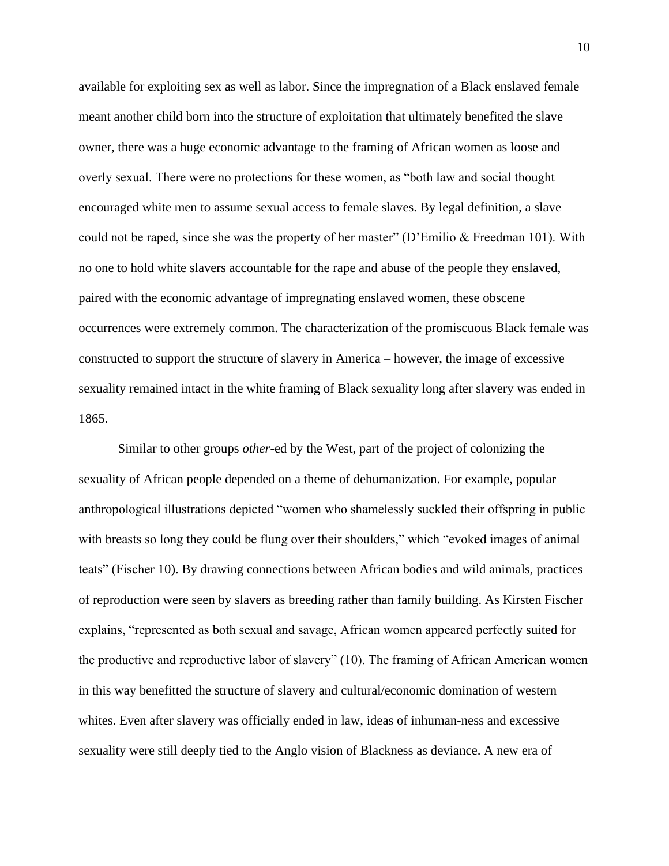available for exploiting sex as well as labor. Since the impregnation of a Black enslaved female meant another child born into the structure of exploitation that ultimately benefited the slave owner, there was a huge economic advantage to the framing of African women as loose and overly sexual. There were no protections for these women, as "both law and social thought encouraged white men to assume sexual access to female slaves. By legal definition, a slave could not be raped, since she was the property of her master" (D'Emilio & Freedman 101). With no one to hold white slavers accountable for the rape and abuse of the people they enslaved, paired with the economic advantage of impregnating enslaved women, these obscene occurrences were extremely common. The characterization of the promiscuous Black female was constructed to support the structure of slavery in America – however, the image of excessive sexuality remained intact in the white framing of Black sexuality long after slavery was ended in 1865.

Similar to other groups *other*-ed by the West, part of the project of colonizing the sexuality of African people depended on a theme of dehumanization. For example, popular anthropological illustrations depicted "women who shamelessly suckled their offspring in public with breasts so long they could be flung over their shoulders," which "evoked images of animal teats" (Fischer 10). By drawing connections between African bodies and wild animals, practices of reproduction were seen by slavers as breeding rather than family building. As Kirsten Fischer explains, "represented as both sexual and savage, African women appeared perfectly suited for the productive and reproductive labor of slavery" (10). The framing of African American women in this way benefitted the structure of slavery and cultural/economic domination of western whites. Even after slavery was officially ended in law, ideas of inhuman-ness and excessive sexuality were still deeply tied to the Anglo vision of Blackness as deviance. A new era of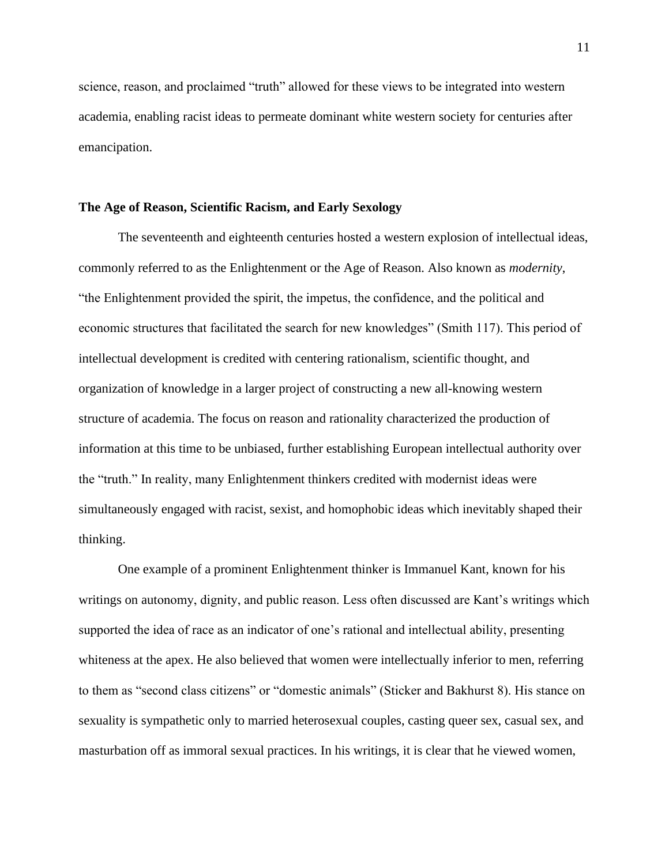science, reason, and proclaimed "truth" allowed for these views to be integrated into western academia, enabling racist ideas to permeate dominant white western society for centuries after emancipation.

#### **The Age of Reason, Scientific Racism, and Early Sexology**

The seventeenth and eighteenth centuries hosted a western explosion of intellectual ideas, commonly referred to as the Enlightenment or the Age of Reason. Also known as *modernity*, "the Enlightenment provided the spirit, the impetus, the confidence, and the political and economic structures that facilitated the search for new knowledges" (Smith 117). This period of intellectual development is credited with centering rationalism, scientific thought, and organization of knowledge in a larger project of constructing a new all-knowing western structure of academia. The focus on reason and rationality characterized the production of information at this time to be unbiased, further establishing European intellectual authority over the "truth." In reality, many Enlightenment thinkers credited with modernist ideas were simultaneously engaged with racist, sexist, and homophobic ideas which inevitably shaped their thinking.

One example of a prominent Enlightenment thinker is Immanuel Kant, known for his writings on autonomy, dignity, and public reason. Less often discussed are Kant's writings which supported the idea of race as an indicator of one's rational and intellectual ability, presenting whiteness at the apex. He also believed that women were intellectually inferior to men, referring to them as "second class citizens" or "domestic animals" (Sticker and Bakhurst 8). His stance on sexuality is sympathetic only to married heterosexual couples, casting queer sex, casual sex, and masturbation off as immoral sexual practices. In his writings, it is clear that he viewed women,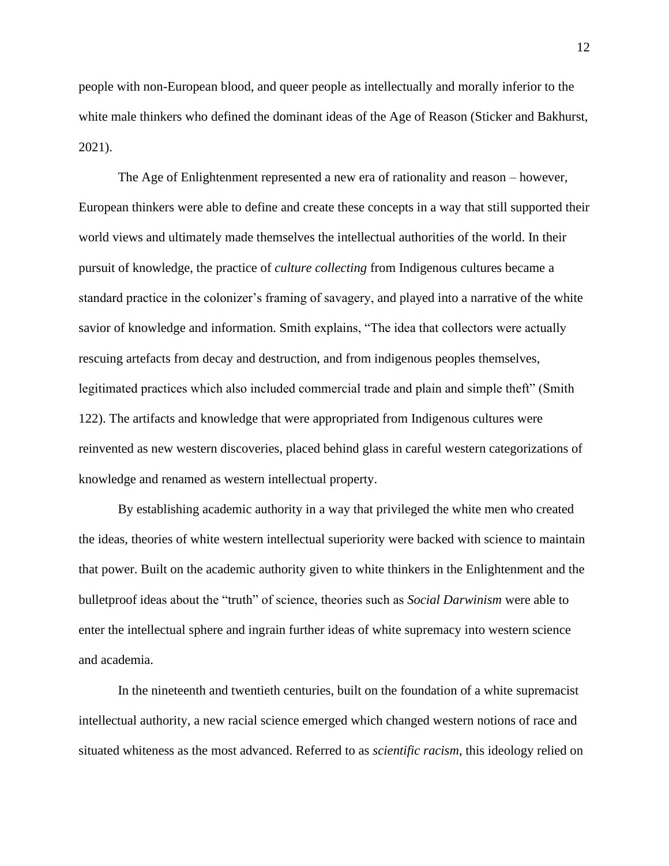people with non-European blood, and queer people as intellectually and morally inferior to the white male thinkers who defined the dominant ideas of the Age of Reason (Sticker and Bakhurst, 2021).

The Age of Enlightenment represented a new era of rationality and reason – however, European thinkers were able to define and create these concepts in a way that still supported their world views and ultimately made themselves the intellectual authorities of the world. In their pursuit of knowledge, the practice of *culture collecting* from Indigenous cultures became a standard practice in the colonizer's framing of savagery, and played into a narrative of the white savior of knowledge and information. Smith explains, "The idea that collectors were actually rescuing artefacts from decay and destruction, and from indigenous peoples themselves, legitimated practices which also included commercial trade and plain and simple theft" (Smith 122). The artifacts and knowledge that were appropriated from Indigenous cultures were reinvented as new western discoveries, placed behind glass in careful western categorizations of knowledge and renamed as western intellectual property.

By establishing academic authority in a way that privileged the white men who created the ideas, theories of white western intellectual superiority were backed with science to maintain that power. Built on the academic authority given to white thinkers in the Enlightenment and the bulletproof ideas about the "truth" of science, theories such as *Social Darwinism* were able to enter the intellectual sphere and ingrain further ideas of white supremacy into western science and academia.

In the nineteenth and twentieth centuries, built on the foundation of a white supremacist intellectual authority, a new racial science emerged which changed western notions of race and situated whiteness as the most advanced. Referred to as *scientific racism*, this ideology relied on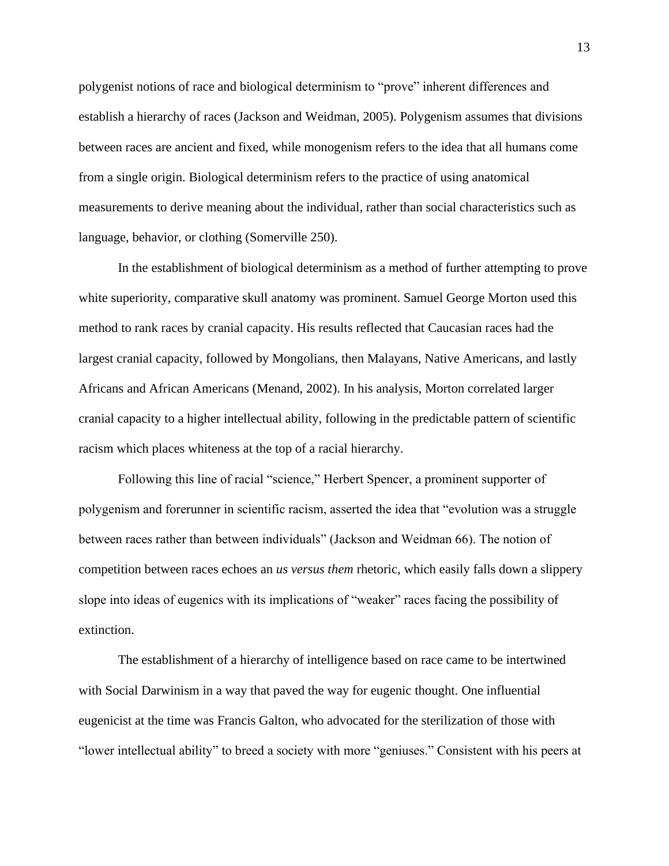polygenist notions of race and biological determinism to "prove" inherent differences and establish a hierarchy of races (Jackson and Weidman, 2005). Polygenism assumes that divisions between races are ancient and fixed, while monogenism refers to the idea that all humans come from a single origin. Biological determinism refers to the practice of using anatomical measurements to derive meaning about the individual, rather than social characteristics such as language, behavior, or clothing (Somerville 250).

In the establishment of biological determinism as a method of further attempting to prove white superiority, comparative skull anatomy was prominent. Samuel George Morton used this method to rank races by cranial capacity. His results reflected that Caucasian races had the largest cranial capacity, followed by Mongolians, then Malayans, Native Americans, and lastly Africans and African Americans (Menand, 2002). In his analysis, Morton correlated larger cranial capacity to a higher intellectual ability, following in the predictable pattern of scientific racism which places whiteness at the top of a racial hierarchy.

Following this line of racial "science," Herbert Spencer, a prominent supporter of polygenism and forerunner in scientific racism, asserted the idea that "evolution was a struggle between races rather than between individuals" (Jackson and Weidman 66). The notion of competition between races echoes an *us versus them* rhetoric, which easily falls down a slippery slope into ideas of eugenics with its implications of "weaker" races facing the possibility of extinction.

The establishment of a hierarchy of intelligence based on race came to be intertwined with Social Darwinism in a way that paved the way for eugenic thought. One influential eugenicist at the time was Francis Galton, who advocated for the sterilization of those with "lower intellectual ability" to breed a society with more "geniuses." Consistent with his peers at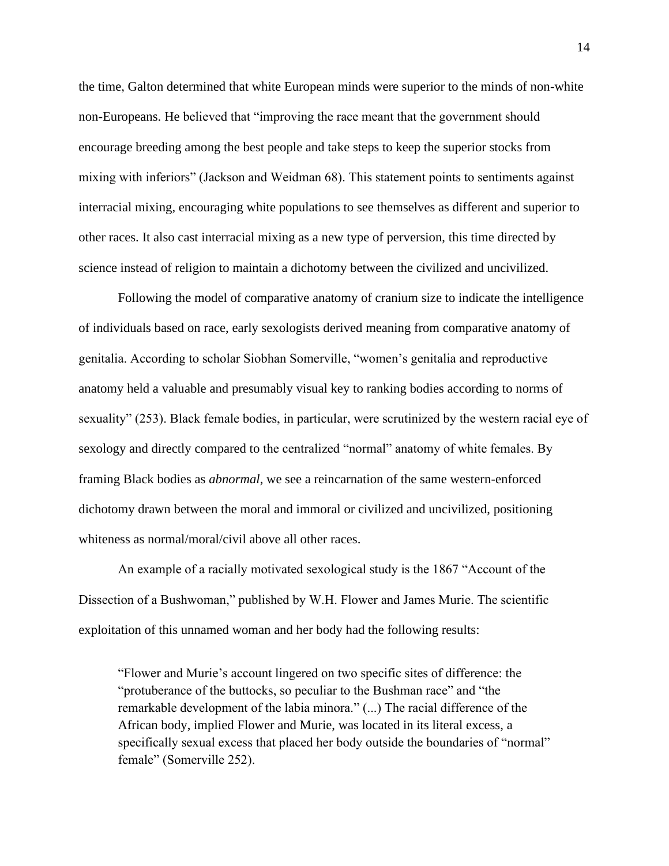the time, Galton determined that white European minds were superior to the minds of non-white non-Europeans. He believed that "improving the race meant that the government should encourage breeding among the best people and take steps to keep the superior stocks from mixing with inferiors" (Jackson and Weidman 68). This statement points to sentiments against interracial mixing, encouraging white populations to see themselves as different and superior to other races. It also cast interracial mixing as a new type of perversion, this time directed by science instead of religion to maintain a dichotomy between the civilized and uncivilized.

Following the model of comparative anatomy of cranium size to indicate the intelligence of individuals based on race, early sexologists derived meaning from comparative anatomy of genitalia. According to scholar Siobhan Somerville, "women's genitalia and reproductive anatomy held a valuable and presumably visual key to ranking bodies according to norms of sexuality" (253). Black female bodies, in particular, were scrutinized by the western racial eye of sexology and directly compared to the centralized "normal" anatomy of white females. By framing Black bodies as *abnormal*, we see a reincarnation of the same western-enforced dichotomy drawn between the moral and immoral or civilized and uncivilized, positioning whiteness as normal/moral/civil above all other races.

An example of a racially motivated sexological study is the 1867 "Account of the Dissection of a Bushwoman," published by W.H. Flower and James Murie. The scientific exploitation of this unnamed woman and her body had the following results:

"Flower and Murie's account lingered on two specific sites of difference: the "protuberance of the buttocks, so peculiar to the Bushman race" and "the remarkable development of the labia minora." (...) The racial difference of the African body, implied Flower and Murie, was located in its literal excess, a specifically sexual excess that placed her body outside the boundaries of "normal" female" (Somerville 252).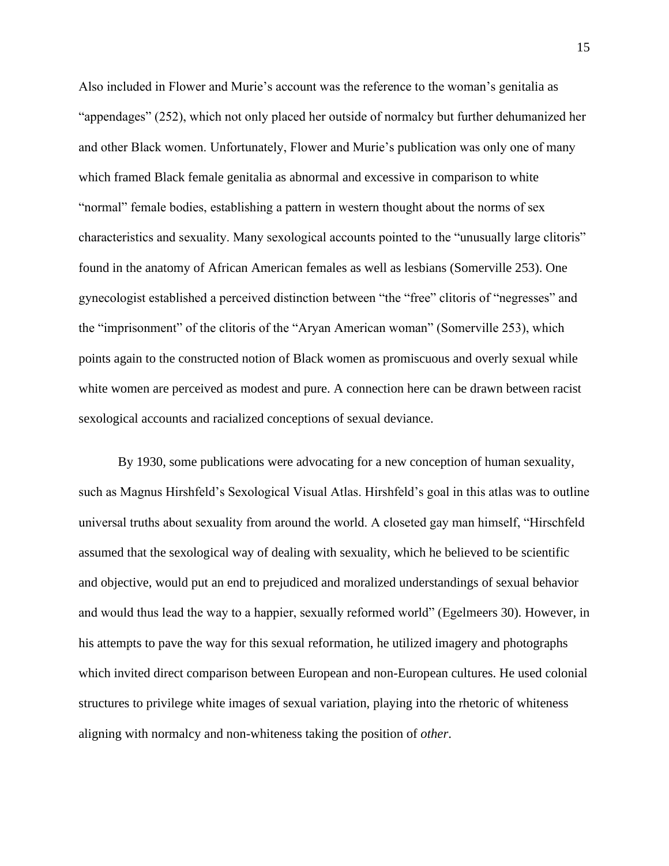Also included in Flower and Murie's account was the reference to the woman's genitalia as "appendages" (252), which not only placed her outside of normalcy but further dehumanized her and other Black women. Unfortunately, Flower and Murie's publication was only one of many which framed Black female genitalia as abnormal and excessive in comparison to white "normal" female bodies, establishing a pattern in western thought about the norms of sex characteristics and sexuality. Many sexological accounts pointed to the "unusually large clitoris" found in the anatomy of African American females as well as lesbians (Somerville 253). One gynecologist established a perceived distinction between "the "free" clitoris of "negresses" and the "imprisonment" of the clitoris of the "Aryan American woman" (Somerville 253), which points again to the constructed notion of Black women as promiscuous and overly sexual while white women are perceived as modest and pure. A connection here can be drawn between racist sexological accounts and racialized conceptions of sexual deviance.

By 1930, some publications were advocating for a new conception of human sexuality, such as Magnus Hirshfeld's Sexological Visual Atlas. Hirshfeld's goal in this atlas was to outline universal truths about sexuality from around the world. A closeted gay man himself, "Hirschfeld assumed that the sexological way of dealing with sexuality, which he believed to be scientific and objective, would put an end to prejudiced and moralized understandings of sexual behavior and would thus lead the way to a happier, sexually reformed world" (Egelmeers 30). However, in his attempts to pave the way for this sexual reformation, he utilized imagery and photographs which invited direct comparison between European and non-European cultures. He used colonial structures to privilege white images of sexual variation, playing into the rhetoric of whiteness aligning with normalcy and non-whiteness taking the position of *other*.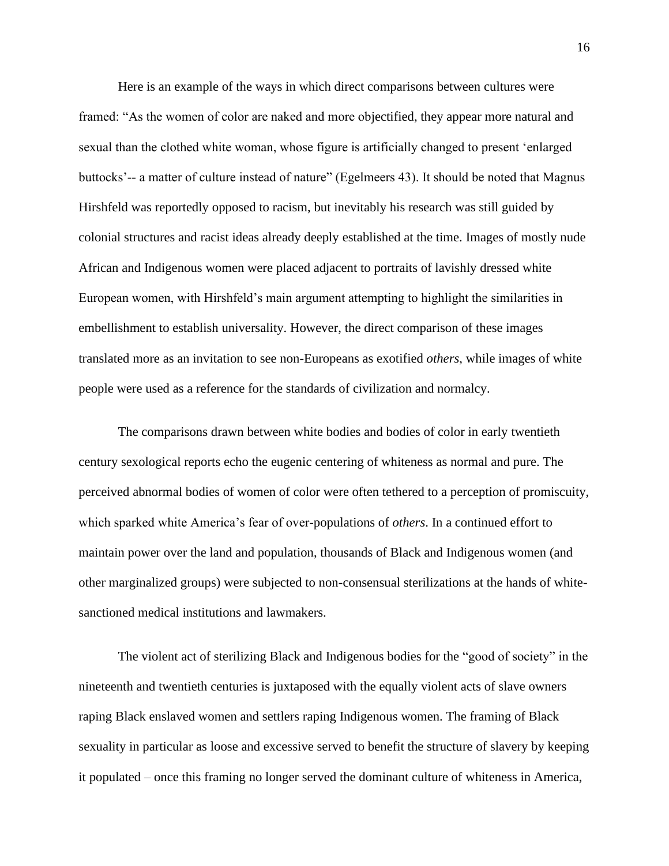Here is an example of the ways in which direct comparisons between cultures were framed: "As the women of color are naked and more objectified, they appear more natural and sexual than the clothed white woman, whose figure is artificially changed to present 'enlarged buttocks'-- a matter of culture instead of nature" (Egelmeers 43). It should be noted that Magnus Hirshfeld was reportedly opposed to racism, but inevitably his research was still guided by colonial structures and racist ideas already deeply established at the time. Images of mostly nude African and Indigenous women were placed adjacent to portraits of lavishly dressed white European women, with Hirshfeld's main argument attempting to highlight the similarities in embellishment to establish universality. However, the direct comparison of these images translated more as an invitation to see non-Europeans as exotified *others*, while images of white people were used as a reference for the standards of civilization and normalcy.

The comparisons drawn between white bodies and bodies of color in early twentieth century sexological reports echo the eugenic centering of whiteness as normal and pure. The perceived abnormal bodies of women of color were often tethered to a perception of promiscuity, which sparked white America's fear of over-populations of *others*. In a continued effort to maintain power over the land and population, thousands of Black and Indigenous women (and other marginalized groups) were subjected to non-consensual sterilizations at the hands of whitesanctioned medical institutions and lawmakers.

The violent act of sterilizing Black and Indigenous bodies for the "good of society" in the nineteenth and twentieth centuries is juxtaposed with the equally violent acts of slave owners raping Black enslaved women and settlers raping Indigenous women. The framing of Black sexuality in particular as loose and excessive served to benefit the structure of slavery by keeping it populated – once this framing no longer served the dominant culture of whiteness in America,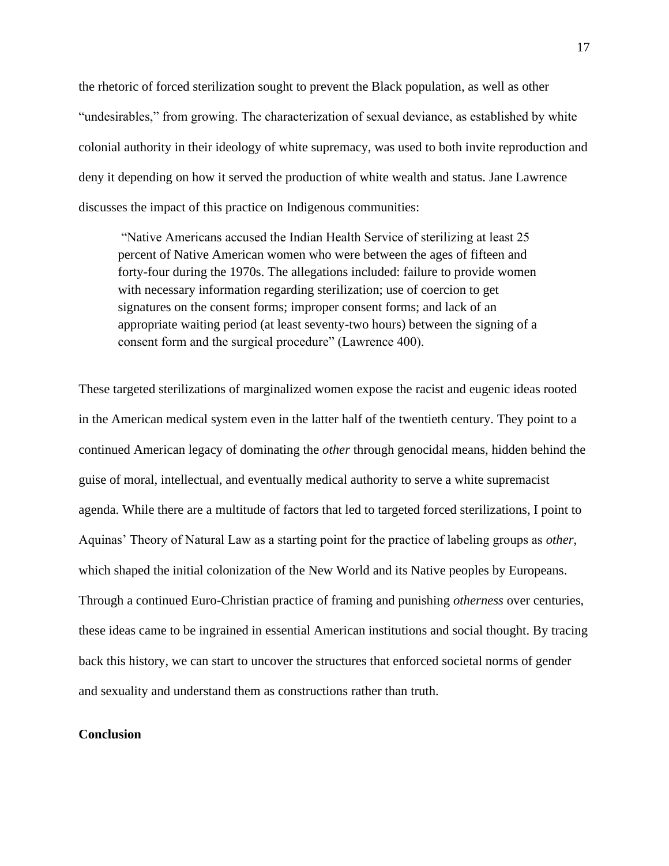the rhetoric of forced sterilization sought to prevent the Black population, as well as other "undesirables," from growing. The characterization of sexual deviance, as established by white colonial authority in their ideology of white supremacy, was used to both invite reproduction and deny it depending on how it served the production of white wealth and status. Jane Lawrence discusses the impact of this practice on Indigenous communities:

"Native Americans accused the Indian Health Service of sterilizing at least 25 percent of Native American women who were between the ages of fifteen and forty-four during the 1970s. The allegations included: failure to provide women with necessary information regarding sterilization; use of coercion to get signatures on the consent forms; improper consent forms; and lack of an appropriate waiting period (at least seventy-two hours) between the signing of a consent form and the surgical procedure" (Lawrence 400).

These targeted sterilizations of marginalized women expose the racist and eugenic ideas rooted in the American medical system even in the latter half of the twentieth century. They point to a continued American legacy of dominating the *other* through genocidal means, hidden behind the guise of moral, intellectual, and eventually medical authority to serve a white supremacist agenda. While there are a multitude of factors that led to targeted forced sterilizations, I point to Aquinas' Theory of Natural Law as a starting point for the practice of labeling groups as *other*, which shaped the initial colonization of the New World and its Native peoples by Europeans. Through a continued Euro-Christian practice of framing and punishing *otherness* over centuries, these ideas came to be ingrained in essential American institutions and social thought. By tracing back this history, we can start to uncover the structures that enforced societal norms of gender and sexuality and understand them as constructions rather than truth.

# **Conclusion**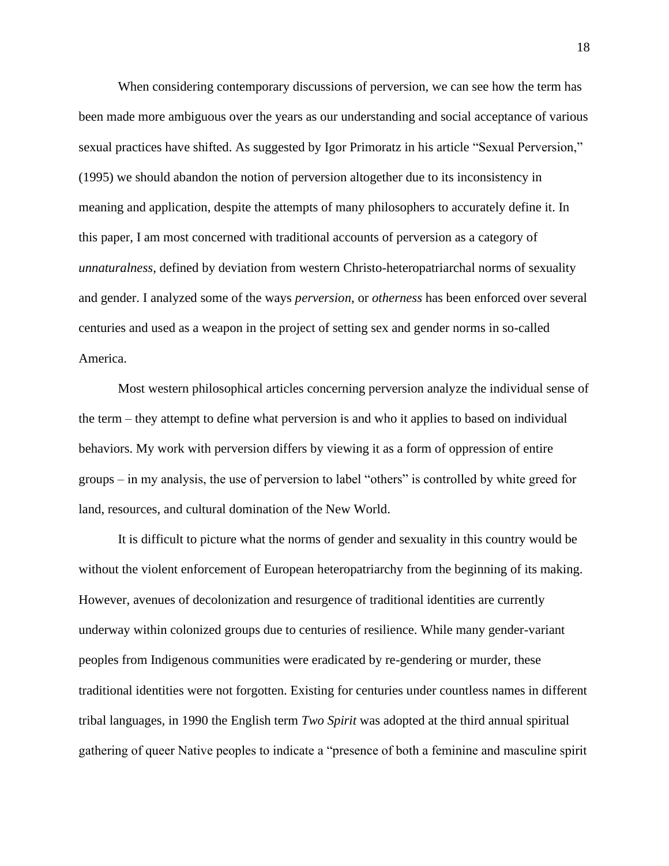When considering contemporary discussions of perversion, we can see how the term has been made more ambiguous over the years as our understanding and social acceptance of various sexual practices have shifted. As suggested by Igor Primoratz in his article "Sexual Perversion," (1995) we should abandon the notion of perversion altogether due to its inconsistency in meaning and application, despite the attempts of many philosophers to accurately define it. In this paper, I am most concerned with traditional accounts of perversion as a category of *unnaturalness*, defined by deviation from western Christo-heteropatriarchal norms of sexuality and gender. I analyzed some of the ways *perversion*, or *otherness* has been enforced over several centuries and used as a weapon in the project of setting sex and gender norms in so-called America.

Most western philosophical articles concerning perversion analyze the individual sense of the term – they attempt to define what perversion is and who it applies to based on individual behaviors. My work with perversion differs by viewing it as a form of oppression of entire groups – in my analysis, the use of perversion to label "others" is controlled by white greed for land, resources, and cultural domination of the New World.

It is difficult to picture what the norms of gender and sexuality in this country would be without the violent enforcement of European heteropatriarchy from the beginning of its making. However, avenues of decolonization and resurgence of traditional identities are currently underway within colonized groups due to centuries of resilience. While many gender-variant peoples from Indigenous communities were eradicated by re-gendering or murder, these traditional identities were not forgotten. Existing for centuries under countless names in different tribal languages, in 1990 the English term *Two Spirit* was adopted at the third annual spiritual gathering of queer Native peoples to indicate a "presence of both a feminine and masculine spirit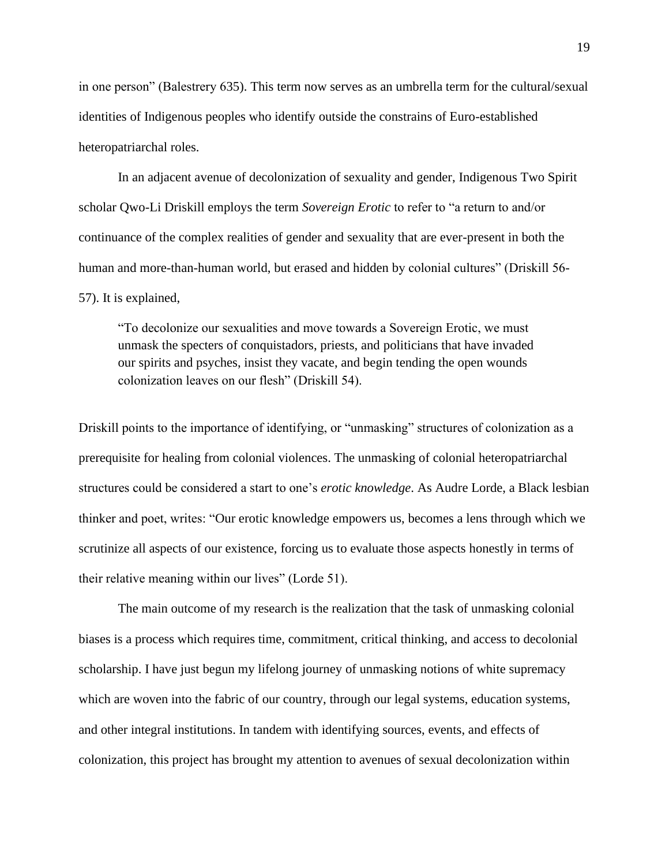in one person" (Balestrery 635). This term now serves as an umbrella term for the cultural/sexual identities of Indigenous peoples who identify outside the constrains of Euro-established heteropatriarchal roles.

In an adjacent avenue of decolonization of sexuality and gender, Indigenous Two Spirit scholar Qwo-Li Driskill employs the term *Sovereign Erotic* to refer to "a return to and/or continuance of the complex realities of gender and sexuality that are ever-present in both the human and more-than-human world, but erased and hidden by colonial cultures" (Driskill 56- 57). It is explained,

"To decolonize our sexualities and move towards a Sovereign Erotic, we must unmask the specters of conquistadors, priests, and politicians that have invaded our spirits and psyches, insist they vacate, and begin tending the open wounds colonization leaves on our flesh" (Driskill 54).

Driskill points to the importance of identifying, or "unmasking" structures of colonization as a prerequisite for healing from colonial violences. The unmasking of colonial heteropatriarchal structures could be considered a start to one's *erotic knowledge*. As Audre Lorde, a Black lesbian thinker and poet, writes: "Our erotic knowledge empowers us, becomes a lens through which we scrutinize all aspects of our existence, forcing us to evaluate those aspects honestly in terms of their relative meaning within our lives" (Lorde 51).

The main outcome of my research is the realization that the task of unmasking colonial biases is a process which requires time, commitment, critical thinking, and access to decolonial scholarship. I have just begun my lifelong journey of unmasking notions of white supremacy which are woven into the fabric of our country, through our legal systems, education systems, and other integral institutions. In tandem with identifying sources, events, and effects of colonization, this project has brought my attention to avenues of sexual decolonization within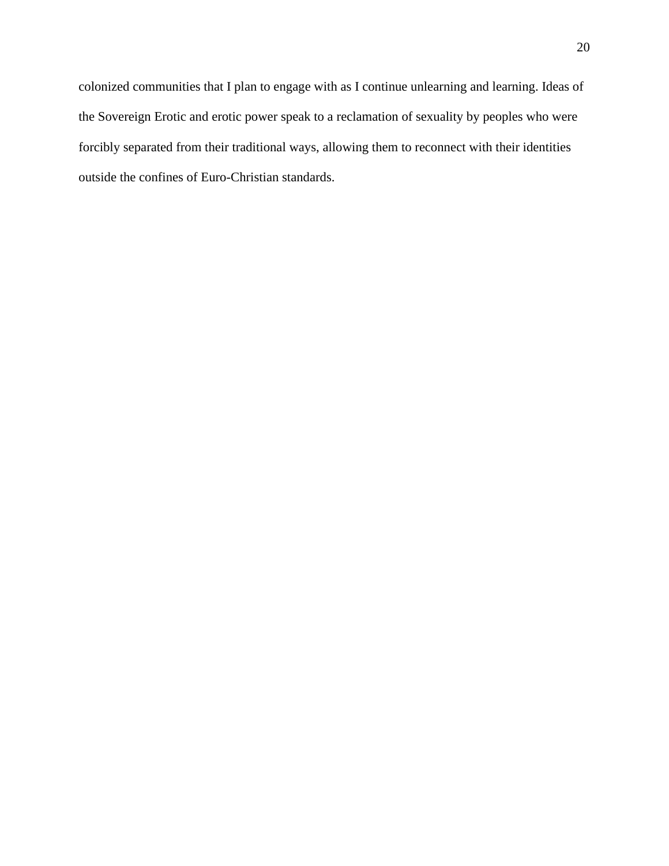colonized communities that I plan to engage with as I continue unlearning and learning. Ideas of the Sovereign Erotic and erotic power speak to a reclamation of sexuality by peoples who were forcibly separated from their traditional ways, allowing them to reconnect with their identities outside the confines of Euro-Christian standards.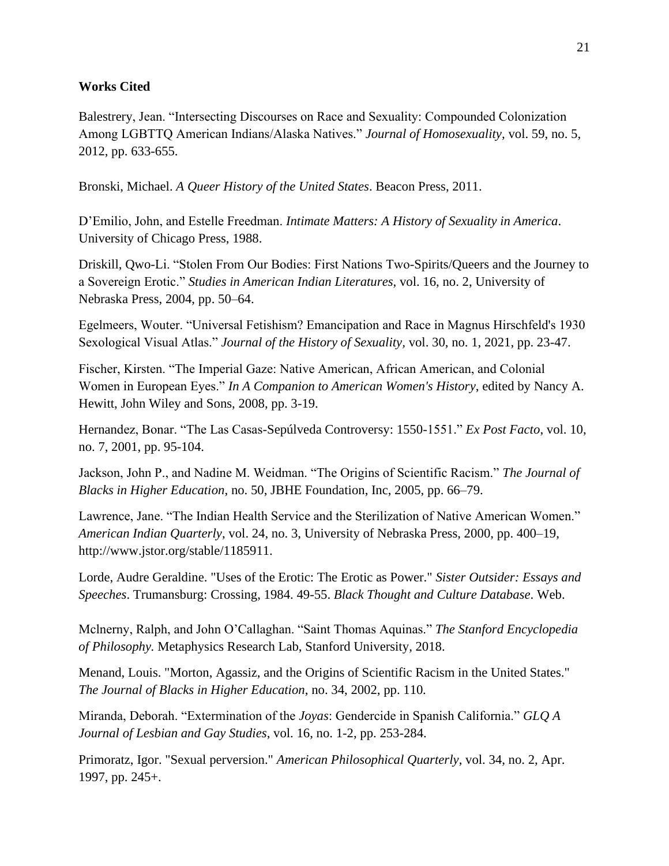# **Works Cited**

Balestrery, Jean. "Intersecting Discourses on Race and Sexuality: Compounded Colonization Among LGBTTQ American Indians/Alaska Natives." *Journal of Homosexuality,* vol. 59, no. 5, 2012, pp. 633-655.

Bronski, Michael. *A Queer History of the United States*. Beacon Press, 2011.

D'Emilio, John, and Estelle Freedman. *Intimate Matters: A History of Sexuality in America*. University of Chicago Press, 1988.

Driskill, Qwo-Li. "Stolen From Our Bodies: First Nations Two-Spirits/Queers and the Journey to a Sovereign Erotic." *Studies in American Indian Literatures*, vol. 16, no. 2, University of Nebraska Press, 2004, pp. 50–64.

Egelmeers, Wouter. "Universal Fetishism? Emancipation and Race in Magnus Hirschfeld's 1930 Sexological Visual Atlas." *Journal of the History of Sexuality,* vol. 30, no. 1, 2021, pp. 23-47.

Fischer, Kirsten. "The Imperial Gaze: Native American, African American, and Colonial Women in European Eyes." *In A Companion to American Women's History*, edited by Nancy A. Hewitt, John Wiley and Sons, 2008, pp. 3-19.

Hernandez, Bonar. "The Las Casas-Sepúlveda Controversy: 1550-1551." *Ex Post Facto*, vol. 10, no. 7, 2001, pp. 95-104.

Jackson, John P., and Nadine M. Weidman. "The Origins of Scientific Racism." *The Journal of Blacks in Higher Education*, no. 50, JBHE Foundation, Inc, 2005, pp. 66–79.

Lawrence, Jane. "The Indian Health Service and the Sterilization of Native American Women." *American Indian Quarterly*, vol. 24, no. 3, University of Nebraska Press, 2000, pp. 400–19, http://www.jstor.org/stable/1185911.

Lorde, Audre Geraldine. "Uses of the Erotic: The Erotic as Power." *Sister Outsider: Essays and Speeches*. Trumansburg: Crossing, 1984. 49-55. *Black Thought and Culture Database*. Web.

Mclnerny, Ralph, and John O'Callaghan. "Saint Thomas Aquinas." *The Stanford Encyclopedia of Philosophy.* Metaphysics Research Lab, Stanford University, 2018.

Menand, Louis. "Morton, Agassiz, and the Origins of Scientific Racism in the United States." *The Journal of Blacks in Higher Education*, no. 34, 2002, pp. 110*.*

Miranda, Deborah. "Extermination of the *Joyas*: Gendercide in Spanish California." *GLQ A Journal of Lesbian and Gay Studies*, vol. 16, no. 1-2, pp. 253-284.

Primoratz, Igor. "Sexual perversion." *American Philosophical Quarterly*, vol. 34, no. 2, Apr. 1997, pp. 245+.